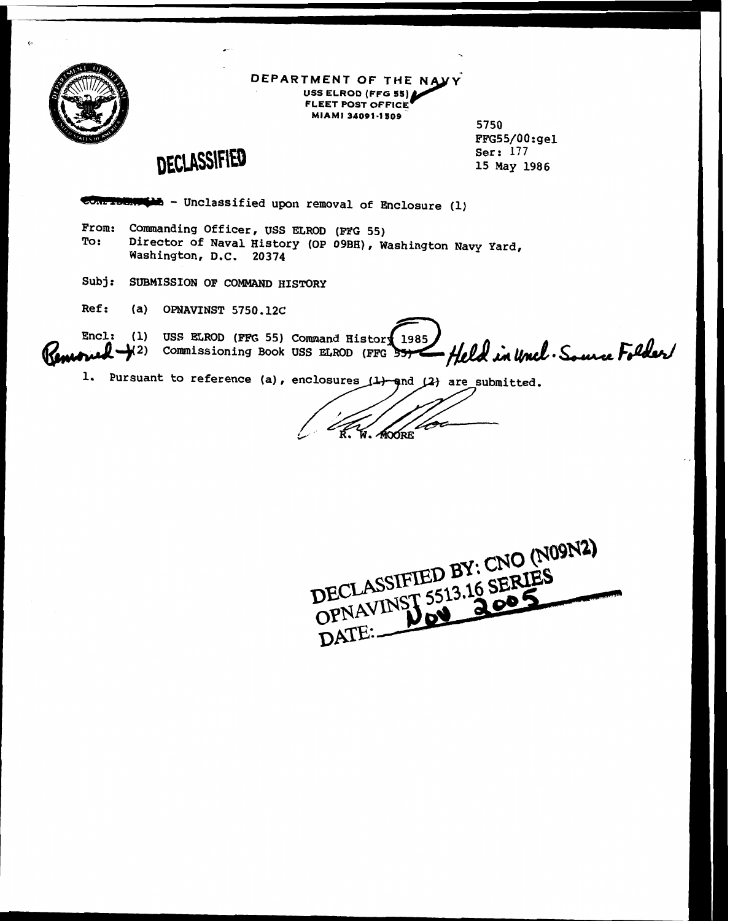

#### **DEPARTMENT OF THE NAVY USS ELROD (FFG 55) FLEET POST OFFICE MIAMI 34091-1509**

**5750 ~~G55/00:gel** - **Ser: 177 15 May 1986** 

# DECLASSIFIED

- **Unclassified upon removal of Enclosure (1)** 

- **From: Commanding Officer, USS ELROD (FFG 55) To: Director of Naval History (OP 09BH). Washington Navy Yard, Washington, D.C. 20374**
- **Subj: SUBMISSION OF COMMAND HISTORY**
- **Ref:** (a) OPNAVINST 5750.12C

Encl: (1) USS ELROD (FFG 55) Command History 1985 **2) Comissioning Book USS ELROD (FPD 1.** Pursuant to reference (a), enclosures (1) and 1385 Held in Uncl. Source Folder

- ∕M∩∩้คล

DECLASSIFIED BY: CNO (N09N2) DECLASSIFIED BY: CNO I. S DATE: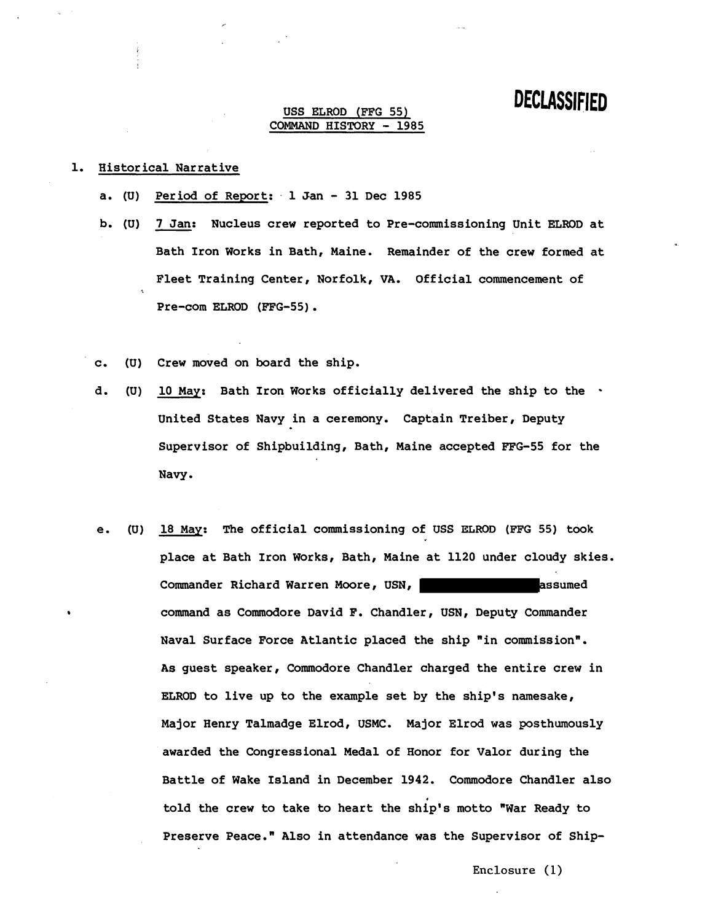#### **USS ELROD (FFG 55) COMMAND HISTORY** - **19 8 5**

#### **1. Historical Narrative**

- **a. (U) Period of Report:** . **1 Jan 31 Dec 1985**
- **b. (U) 7 Jan: Nucleus crew reported to Pre-commissioning Unit ELROD at Bath Iron Works in Bath, Maine. Remainder of the crew formed at Fleet Training Center, Norfolk, VA. Official commencement of Pre-com ELROD (FFG-55).**
- **c. (U) Crew moved on board the ship.**
- **d. (U) 10 May: Bath Iron Works officially delivered the ship to the United States Navy in a ceremony. Captain Treiber, Deputy Supervisor of Shipbuilding, Bath, Maine accepted FFG-55 for the Navy.**
- **e. (U) 18 May: The official commissioning of USS ELROD (FFG 55) took place at Bath Iron Works, Bath, Maine at 1120 under cloudy skies.**  Commander Richard Warren Moore, USN, **Commander Richard Warren Moore, USN**, **command as Commodore David F. Chandler, USN, Deputy Commander**  Naval Surface Force Atlantic placed the ship "in commission". **As guest speaker, Commodore Chandler charged the entire crew in ELROD to live up to the example set by the ship's namesake, Major Henry Talmadge Elrod, USMC. Major Elrod was posthumously awarded the Congressional Medal of Honor for Valor during the Battle of Wake Island in December 1942. Commodore Chandler also told the crew to take to heart the ship's motto "War Ready to Preserve Peace." Also in attendance was the Supervisor of Ship-**

**Enclosure** (1)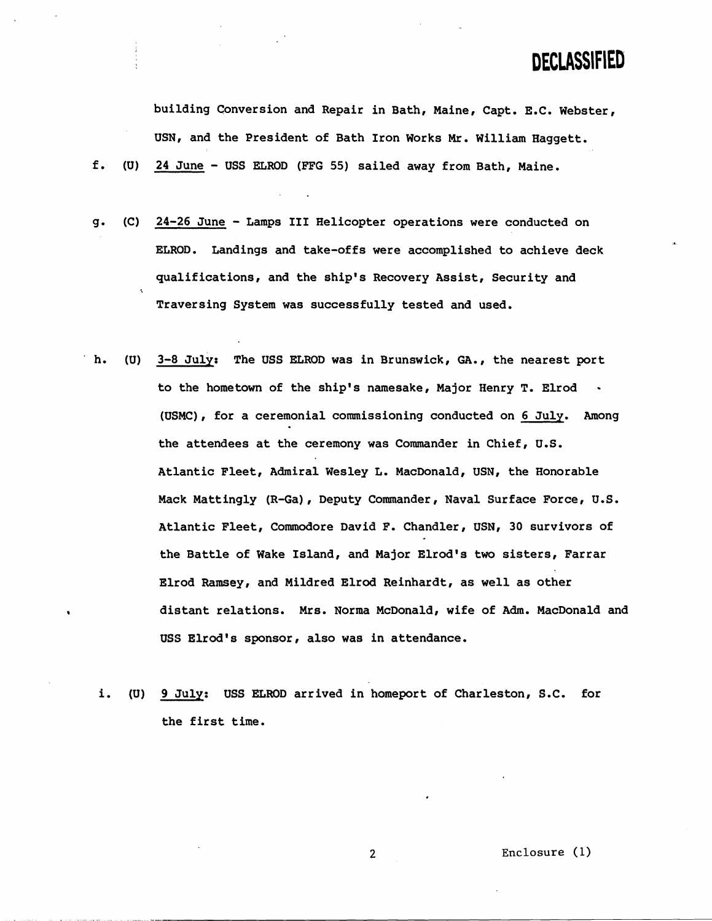**building Conversion and Repair in Bath, Maine, Capt. E.C. Webster, USN, and the President of Bath Iron Works Mr. William Haggett.** 

**f. (U) 24 June** - **USS ELROD (FFG 55) sailed away from Bath, Maine.** 

- **g. (C) 24-26 June Lamps I11 Helicopter operations were conducted on ELEZOD. Landings and take-offs were accomplished to achieve deck qualifications, and the ship's Recovery Assist, Security and Traversing System was successfully tested and used.**
- **h. (U) 3-8 July: The USS ELROD was in Brunswick, GA., the nearest port to the hometown of the ship's namesake, Major Henry T. Elrod (USMC), for a ceremonial commissioning conducted on 6 July. Among the attendees at the ceremony was Commander in Chief, U.S. Atlantic Fleet, Admiral Wesley L. MacDonald, USN, the Honorable Mack Mattingly (R-Ga), Deputy Commander, Naval Surface Force, U.S. Atlantic Fleet, Commodore David F. Chandler, USN, 30 survivors of the Battle of Wake Island, and Major Elrod's two sisters, Farrar Elrod Ramsey, and Mildred Elrod Reinhardt, as well as other distant relations. Mrs. Norma McDonald, wife of Adm. MacDonald and USS Elrod's sponsor, also was in attendance.** 
	- **i. (U) 9 July: USS ELROD arrived in homeport of Charleston, S.C. for the first time.**

**Enclosure** ( **1)**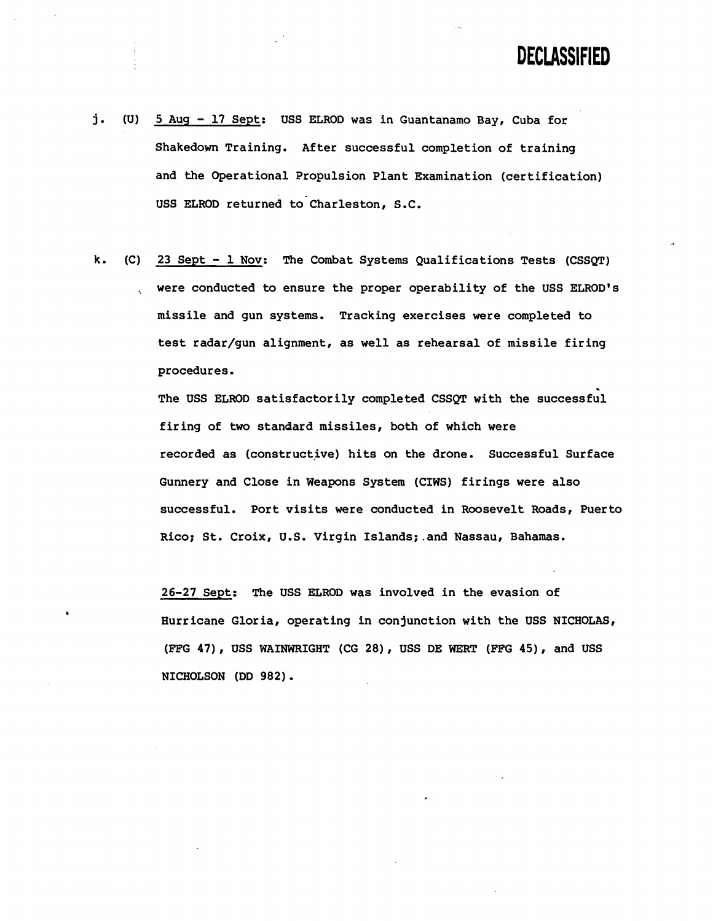- **j. (U) 5 Aug 17 Sept: USS ELROD was in Guantanamo Bay, Cuba for Shakedown Training. After successful completion of training and the Operational Propulsion Plant Examination (certification)**  USS ELROD returned to Charleston, S.C.
- **k. (C) 23 Sept 1 Nov: The Combat Systems Qualifications Tests (CSSQT)**  ,. **were conducted to ensure the proper operability of the USS ELROD1s missile and gun systems. Tracking exercises were completed to test radar/gun alignment, as well as rehearsal of missile firing procedures.**

**The USS ELROD satisfactorily completed CSSQT with the successful firing of two standard missiles, both of which were recorded as (constructive) hits on the drone. Successful Surface Gunnery and Close in Weapons System (CIWS) firings were also successful. Port visits were conducted in Roosevelt Roads, Puerto Rico; St. Croix, U.S. Virgin Islands;.and Nassau, Bahamas.** 

**26-27 Sept: The USS ELROD was involved in the evasion of Hurricane Gloria, operating in conjunction with the USS NICHOLAS, (FFG 47)** , **USS WAINWRIGHT (CG 28), USS DE WERT (FFG 45), and USS NICHOLSON (DD 982)** .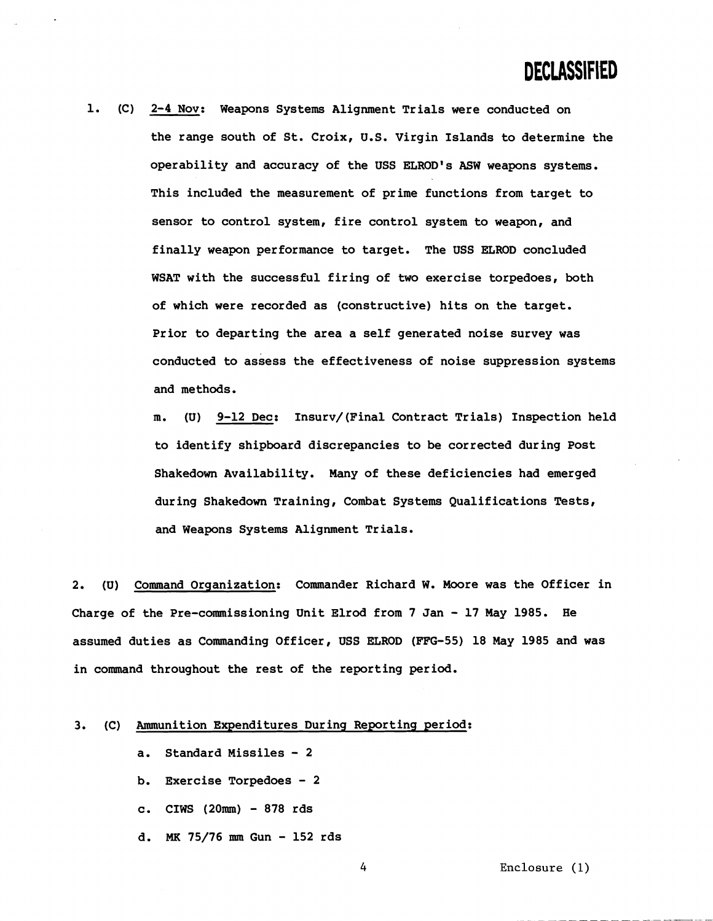$\mathbf{1}$ . **2-4 Nov: Weapons Systems Alignment Trials were conducted on the range south of St. Croix, U.S. Virgin Islands to determine the operability and accuracy of the USS ELROD's ASW weapons systems. This included the measurement of prime functions from target to sensor to control system, fire control system to weapon, and finally weapon performance to target. The USS ELROD concluded WSAT with the successful firing of two exercise torpedoes, both of which were recorded as (constructive) hits on the target. Prior to departing the area a self generated noise survey was conducted to assess the effectiveness of noise suppression systems and methods.** 

> **m. (U) 9-12 Dec: Insurv/(Final Contract Trials) Inspection held to identify shipboard discrepancies to be corrected during Post Shakedown Availability. Many of these deficiencies had emerged during Shakedown Training, Combat Systems Qualifications Tests, and Weapons Systems Alignment Trials.**

**2. (U) Command Orqanization: Commander Richard W. Moore was the Officer in Charge of the Pre-commissioning Unit Elrod from 7 Jan** - **17 May 1985. He assumed duties as Commanding Officer, USS ELROD (FFG-55) 18 May 1985 and was in command throughout the rest of the reporting period.** 

#### **3. (C) Ammunition Expenditures During Reporting period:**

- **a. Standard Missiles <sup>2</sup>**
- **b. Exercise Torpedoes <sup>2</sup>**
- **c. CIWS (2Oram) 878 rds**
- **d. MK 75/76** mm **Gun 152 rds**

**Enclosure** (1)